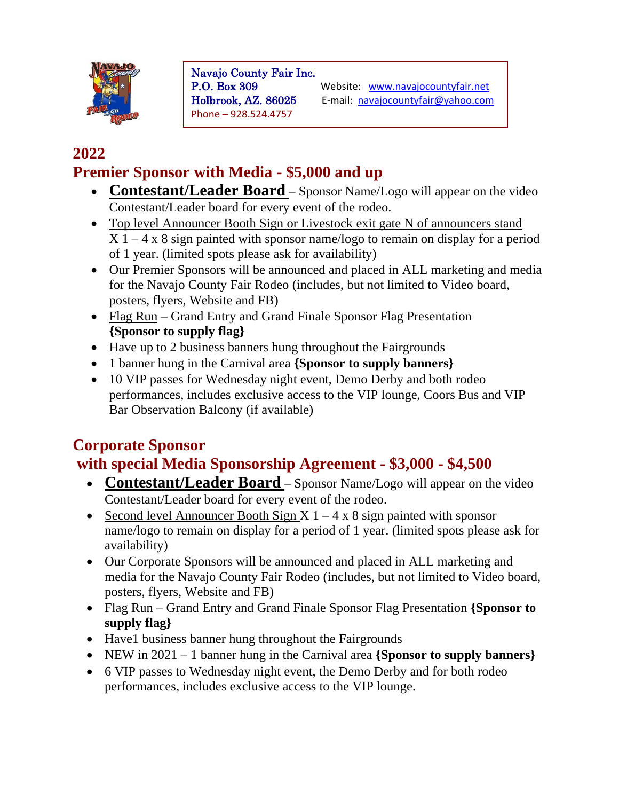

Navajo County Fair Inc. Phone – 928.524.4757

P.O. Box 309 Website: www.navajocountyfair.net Holbrook, AZ. 86025 E-mail: [navajocountyfair@yahoo.com](mailto:navajocountyfair@yahoo.com)

#### **2022 Premier Sponsor with Media - \$5,000 and up**

- **Contestant/Leader Board** Sponsor Name/Logo will appear on the video Contestant/Leader board for every event of the rodeo.
- Top level Announcer Booth Sign or Livestock exit gate N of announcers stand  $X$  1 – 4 x 8 sign painted with sponsor name/logo to remain on display for a period of 1 year. (limited spots please ask for availability)
- Our Premier Sponsors will be announced and placed in ALL marketing and media for the Navajo County Fair Rodeo (includes, but not limited to Video board, posters, flyers, Website and FB)
- Flag Run Grand Entry and Grand Finale Sponsor Flag Presentation **{Sponsor to supply flag}**
- Have up to 2 business banners hung throughout the Fairgrounds
- 1 banner hung in the Carnival area **{Sponsor to supply banners}**
- 10 VIP passes for Wednesday night event, Demo Derby and both rodeo performances, includes exclusive access to the VIP lounge, Coors Bus and VIP Bar Observation Balcony (if available)

#### **Corporate Sponsor with special Media Sponsorship Agreement - \$3,000 - \$4,500**

- **Contestant/Leader Board** Sponsor Name/Logo will appear on the video Contestant/Leader board for every event of the rodeo.
- Second level Announcer Booth Sign  $X$  1 4 x 8 sign painted with sponsor name/logo to remain on display for a period of 1 year. (limited spots please ask for availability)
- Our Corporate Sponsors will be announced and placed in ALL marketing and media for the Navajo County Fair Rodeo (includes, but not limited to Video board, posters, flyers, Website and FB)
- Flag Run Grand Entry and Grand Finale Sponsor Flag Presentation **{Sponsor to supply flag}**
- Have 1 business banner hung throughout the Fairgrounds
- NEW in 2021 1 banner hung in the Carnival area **{Sponsor to supply banners}**
- 6 VIP passes to Wednesday night event, the Demo Derby and for both rodeo performances, includes exclusive access to the VIP lounge.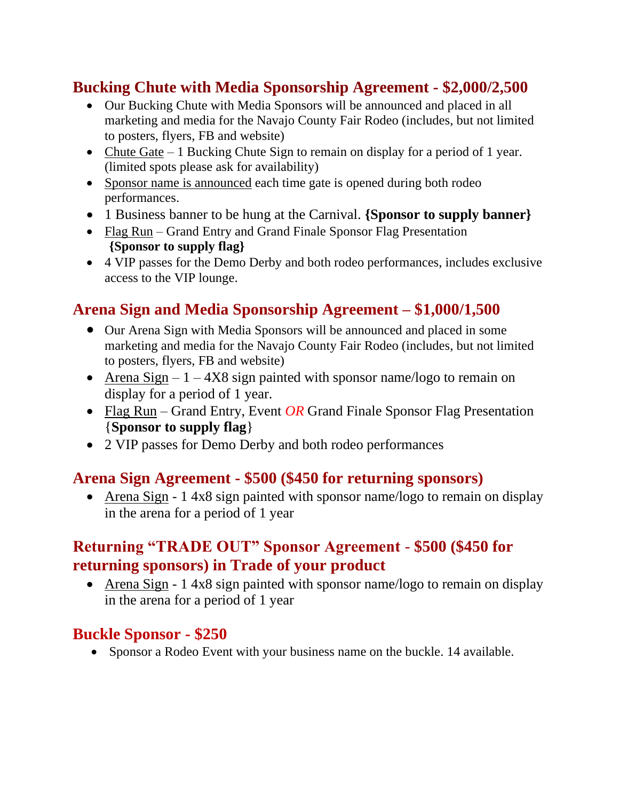### **Bucking Chute with Media Sponsorship Agreement - \$2,000/2,500**

- Our Bucking Chute with Media Sponsors will be announced and placed in all marketing and media for the Navajo County Fair Rodeo (includes, but not limited to posters, flyers, FB and website)
- Chute Gate 1 Bucking Chute Sign to remain on display for a period of 1 year. (limited spots please ask for availability)
- Sponsor name is announced each time gate is opened during both rodeo performances.
- 1 Business banner to be hung at the Carnival. **{Sponsor to supply banner}**
- Flag Run Grand Entry and Grand Finale Sponsor Flag Presentation **{Sponsor to supply flag}**
- 4 VIP passes for the Demo Derby and both rodeo performances, includes exclusive access to the VIP lounge.

## **Arena Sign and Media Sponsorship Agreement – \$1,000/1,500**

- Our Arena Sign with Media Sponsors will be announced and placed in some marketing and media for the Navajo County Fair Rodeo (includes, but not limited to posters, flyers, FB and website)
- Arena Sign  $-1 4X8$  sign painted with sponsor name/logo to remain on display for a period of 1 year.
- Flag Run Grand Entry, Event *OR* Grand Finale Sponsor Flag Presentation {**Sponsor to supply flag**}
- 2 VIP passes for Demo Derby and both rodeo performances

#### **Arena Sign Agreement - \$500 (\$450 for returning sponsors)**

• Arena Sign - 1 4x8 sign painted with sponsor name/logo to remain on display in the arena for a period of 1 year

#### **Returning "TRADE OUT" Sponsor Agreement** - **\$500 (\$450 for returning sponsors) in Trade of your product**

• Arena Sign - 1 4x8 sign painted with sponsor name/logo to remain on display in the arena for a period of 1 year

#### **Buckle Sponsor - \$250**

• Sponsor a Rodeo Event with your business name on the buckle. 14 available.